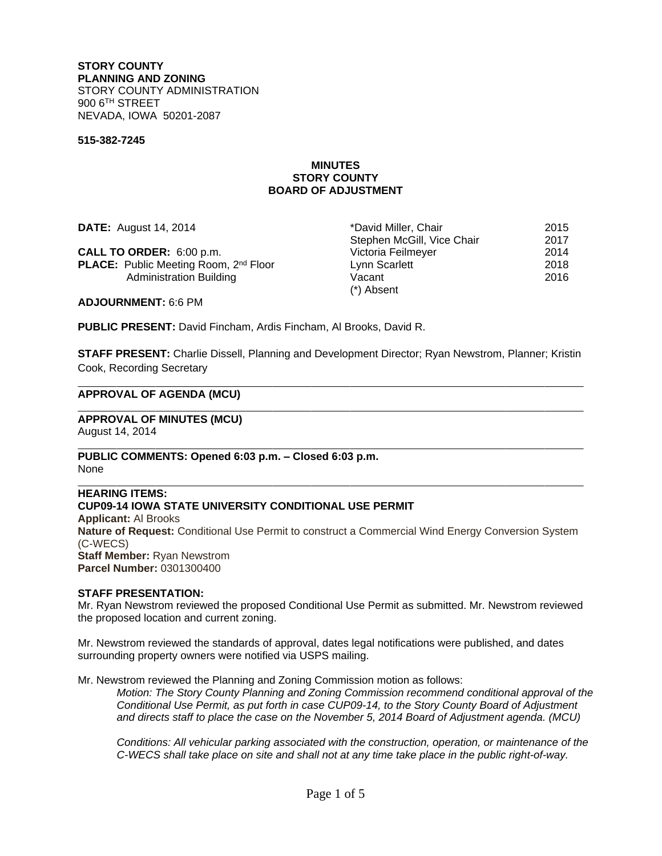### **STORY COUNTY PLANNING AND ZONING** STORY COUNTY ADMINISTRATION 900 6TH STREET NEVADA, IOWA 50201-2087

#### **515-382-7245**

#### **MINUTES STORY COUNTY BOARD OF ADJUSTMENT**

**DATE:** August 14, 2014 **by Caucal August 14, 2015 by Caucal August 2015 contrary 12015** Stephen McGill, Vice Chair 2017 **CALL TO ORDER:** 6:00 p.m. Victoria Feilmeyer 2014 **PLACE:** Public Meeting Room, 2<sup>nd</sup> Floor Lynn Scarlett 2018 Administration Building **National State of Administration Building** Vacant 2016 (\*) Absent

**ADJOURNMENT:** 6:6 PM

 $\overline{a}$ 

 $\overline{a}$ 

**PUBLIC PRESENT:** David Fincham, Ardis Fincham, Al Brooks, David R.

**STAFF PRESENT:** Charlie Dissell, Planning and Development Director; Ryan Newstrom, Planner; Kristin Cook, Recording Secretary

#### **APPROVAL OF AGENDA (MCU)**

#### **APPROVAL OF MINUTES (MCU)** August 14, 2014

 $\overline{a}$ **PUBLIC COMMENTS: Opened 6:03 p.m. – Closed 6:03 p.m.** None

#### $\overline{a}$ **HEARING ITEMS: CUP09-14 IOWA STATE UNIVERSITY CONDITIONAL USE PERMIT Applicant:** Al Brooks **Nature of Request:** Conditional Use Permit to construct a Commercial Wind Energy Conversion System (C-WECS)

**Staff Member:** Ryan Newstrom **Parcel Number:** 0301300400

### **STAFF PRESENTATION:**

Mr. Ryan Newstrom reviewed the proposed Conditional Use Permit as submitted. Mr. Newstrom reviewed the proposed location and current zoning.

Mr. Newstrom reviewed the standards of approval, dates legal notifications were published, and dates surrounding property owners were notified via USPS mailing.

Mr. Newstrom reviewed the Planning and Zoning Commission motion as follows:

*Motion: The Story County Planning and Zoning Commission recommend conditional approval of the Conditional Use Permit, as put forth in case CUP09-14, to the Story County Board of Adjustment and directs staff to place the case on the November 5, 2014 Board of Adjustment agenda. (MCU)*

*Conditions: All vehicular parking associated with the construction, operation, or maintenance of the C-WECS shall take place on site and shall not at any time take place in the public right-of-way.*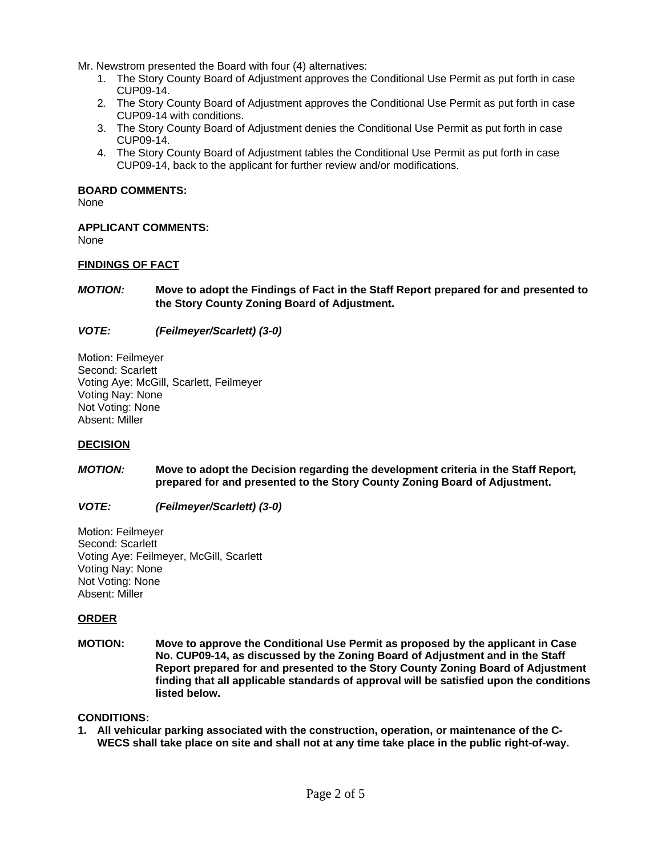Mr. Newstrom presented the Board with four (4) alternatives:

- 1. The Story County Board of Adjustment approves the Conditional Use Permit as put forth in case CUP09-14.
- 2. The Story County Board of Adjustment approves the Conditional Use Permit as put forth in case CUP09-14 with conditions.
- 3. The Story County Board of Adjustment denies the Conditional Use Permit as put forth in case CUP09-14.
- 4. The Story County Board of Adjustment tables the Conditional Use Permit as put forth in case CUP09-14, back to the applicant for further review and/or modifications.

## **BOARD COMMENTS:**

None

## **APPLICANT COMMENTS:**

None

## **FINDINGS OF FACT**

*MOTION:* **Move to adopt the Findings of Fact in the Staff Report prepared for and presented to the Story County Zoning Board of Adjustment.**

## *VOTE: (Feilmeyer/Scarlett) (3-0)*

Motion: Feilmeyer Second: Scarlett Voting Aye: McGill, Scarlett, Feilmeyer Voting Nay: None Not Voting: None Absent: Miller

### **DECISION**

*MOTION:* **Move to adopt the Decision regarding the development criteria in the Staff Report***,* **prepared for and presented to the Story County Zoning Board of Adjustment.**

# *VOTE: (Feilmeyer/Scarlett) (3-0)*

Motion: Feilmeyer Second: Scarlett Voting Aye: Feilmeyer, McGill, Scarlett Voting Nay: None Not Voting: None Absent: Miller

### **ORDER**

**MOTION:****Move to approve the Conditional Use Permit as proposed by the applicant in Case No. CUP09-14, as discussed by the Zoning Board of Adjustment and in the Staff Report prepared for and presented to the Story County Zoning Board of Adjustment finding that all applicable standards of approval will be satisfied upon the conditions listed below.**

### **CONDITIONS:**

**1. All vehicular parking associated with the construction, operation, or maintenance of the C-WECS shall take place on site and shall not at any time take place in the public right-of-way.**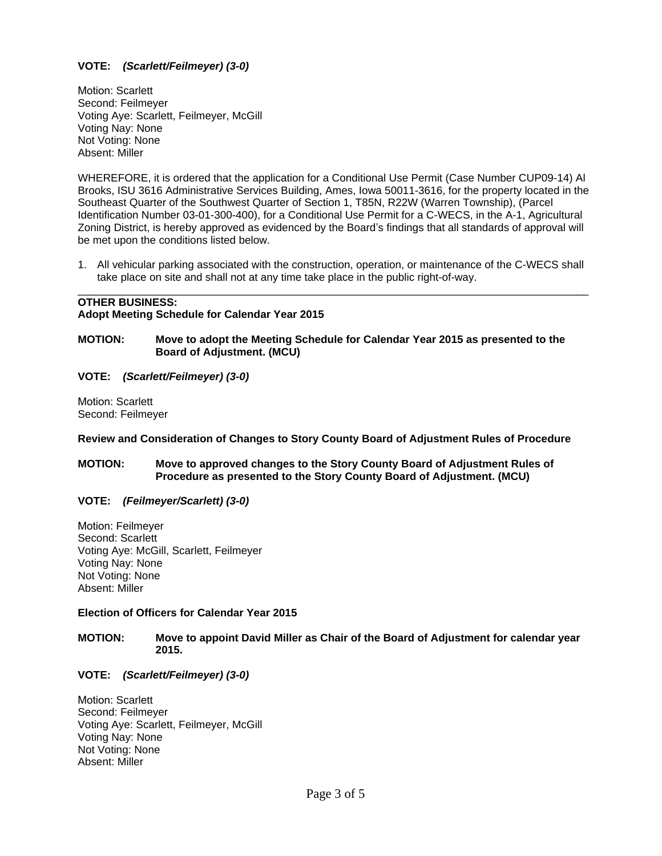# **VOTE:** *(Scarlett/Feilmeyer) (3-0)*

Motion: Scarlett Second: Feilmeyer Voting Aye: Scarlett, Feilmeyer, McGill Voting Nay: None Not Voting: None Absent: Miller

WHEREFORE, it is ordered that the application for a Conditional Use Permit (Case Number CUP09-14) Al Brooks, ISU 3616 Administrative Services Building, Ames, Iowa 50011-3616, for the property located in the Southeast Quarter of the Southwest Quarter of Section 1, T85N, R22W (Warren Township), (Parcel Identification Number 03-01-300-400), for a Conditional Use Permit for a C-WECS, in the A-1, Agricultural Zoning District, is hereby approved as evidenced by the Board's findings that all standards of approval will be met upon the conditions listed below.

1. All vehicular parking associated with the construction, operation, or maintenance of the C-WECS shall take place on site and shall not at any time take place in the public right-of-way. \_\_\_\_\_\_\_\_\_\_\_\_\_\_\_\_\_\_\_\_\_\_\_\_\_\_\_\_\_\_\_\_\_\_\_\_\_\_\_\_\_\_\_\_\_\_\_\_\_\_\_\_\_\_\_\_\_\_\_\_\_\_\_\_\_\_\_\_\_\_\_\_\_\_\_\_\_\_\_\_\_\_\_\_\_

# **OTHER BUSINESS: Adopt Meeting Schedule for Calendar Year 2015**

## **MOTION:****Move to adopt the Meeting Schedule for Calendar Year 2015 as presented to the Board of Adjustment. (MCU)**

## **VOTE:** *(Scarlett/Feilmeyer) (3-0)*

Motion: Scarlett Second: Feilmeyer

### **Review and Consideration of Changes to Story County Board of Adjustment Rules of Procedure**

## **MOTION:****Move to approved changes to the Story County Board of Adjustment Rules of Procedure as presented to the Story County Board of Adjustment. (MCU)**

### **VOTE:** *(Feilmeyer/Scarlett) (3-0)*

Motion: Feilmeyer Second: Scarlett Voting Aye: McGill, Scarlett, Feilmeyer Voting Nay: None Not Voting: None Absent: Miller

### **Election of Officers for Calendar Year 2015**

## **MOTION:****Move to appoint David Miller as Chair of the Board of Adjustment for calendar year 2015.**

## **VOTE:** *(Scarlett/Feilmeyer) (3-0)*

Motion: Scarlett Second: Feilmeyer Voting Aye: Scarlett, Feilmeyer, McGill Voting Nay: None Not Voting: None Absent: Miller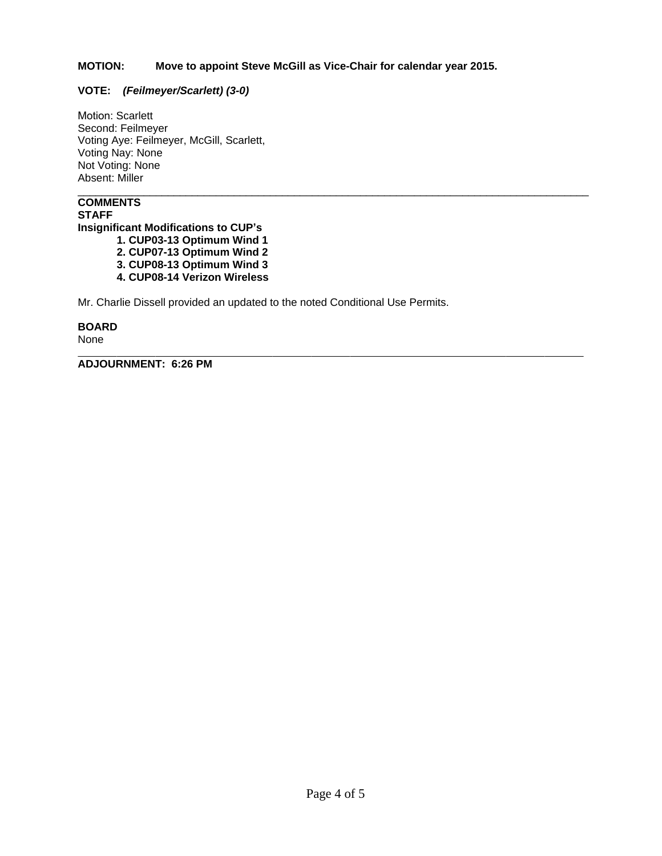## **MOTION:****Move to appoint Steve McGill as Vice-Chair for calendar year 2015.**

\_\_\_\_\_\_\_\_\_\_\_\_\_\_\_\_\_\_\_\_\_\_\_\_\_\_\_\_\_\_\_\_\_\_\_\_\_\_\_\_\_\_\_\_\_\_\_\_\_\_\_\_\_\_\_\_\_\_\_\_\_\_\_\_\_\_\_\_\_\_\_\_\_\_\_\_\_\_\_\_\_\_\_\_\_

## **VOTE:** *(Feilmeyer/Scarlett) (3-0)*

Motion: Scarlett Second: Feilmeyer Voting Aye: Feilmeyer, McGill, Scarlett, Voting Nay: None Not Voting: None Absent: Miller

# **COMMENTS**

**STAFF Insignificant Modifications to CUP's**

**1. CUP03-13 Optimum Wind 1**

- **2. CUP07-13 Optimum Wind 2**
- **3. CUP08-13 Optimum Wind 3**
- **4. CUP08-14 Verizon Wireless**

Mr. Charlie Dissell provided an updated to the noted Conditional Use Permits.

# **BOARD**

None

 $\overline{a}$ 

**ADJOURNMENT: 6:26 PM**